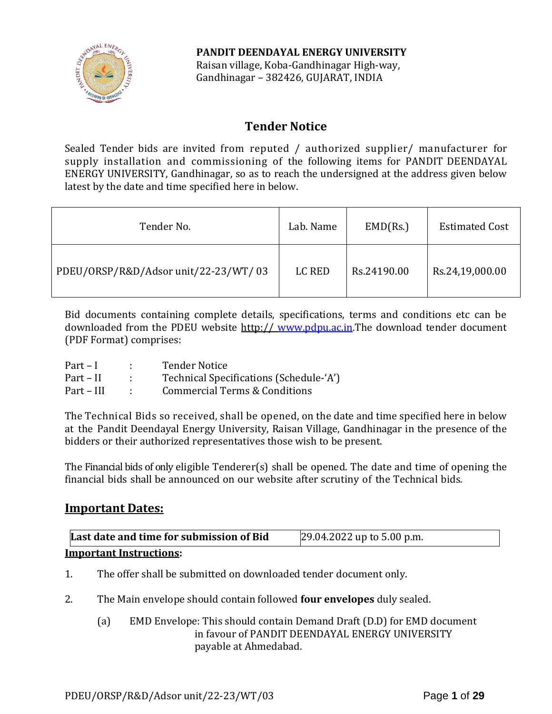

**PANDIT DEENDAYAL ENERGY UNIVERSITY** Raisan village, Koba-Gandhinagar High-way, Gandhinagar – 382426, GUJARAT, INDIA

# **Tender Notice**

Sealed Tender bids are invited from reputed / authorized supplier/ manufacturer for supply installation and commissioning of the following items for PANDIT DEENDAYAL ENERGY UNIVERSITY, Gandhinagar, so as to reach the undersigned at the address given below latest by the date and time specified here in below.

| Tender No.                           | Lab. Name | EMD(Rs.)    | <b>Estimated Cost</b> |
|--------------------------------------|-----------|-------------|-----------------------|
| PDEU/ORSP/R&D/Adsor unit/22-23/WT/03 | LC RED    | Rs.24190.00 | Rs.24,19,000.00       |

Bid documents containing complete details, specifications, terms and conditions etc can be downloaded from the PDEU website http:// [www.pdpu.ac.in.](http://www.pdpu.ac.in/)The download tender document (PDF Format) comprises:

| $Part-I$   | <b>Tender Notice</b>                    |
|------------|-----------------------------------------|
| Part – II  | Technical Specifications (Schedule-'A') |
| Part – III | Commercial Terms & Conditions           |

The Technical Bids so received, shall be opened, on the date and time specified here in below at the Pandit Deendayal Energy University, Raisan Village, Gandhinagar in the presence of the bidders or their authorized representatives those wish to be present.

The Financial bids of only eligible Tenderer(s) shall be opened. The date and time of opening the financial bids shall be announced on our website after scrutiny of the Technical bids.

## **Important Dates:**

| Last date and time for submission of Bid | $[29.04.2022$ up to 5.00 p.m. |
|------------------------------------------|-------------------------------|
| <b>Important Instructions:</b>           |                               |

- 1. The offer shall be submitted on downloaded tender document only.
- 2. The Main envelope should contain followed **four envelopes** duly sealed.
	- (a) EMD Envelope: This should contain Demand Draft (D.D) for EMD document in favour of PANDIT DEENDAYAL ENERGY UNIVERSITY payable at Ahmedabad.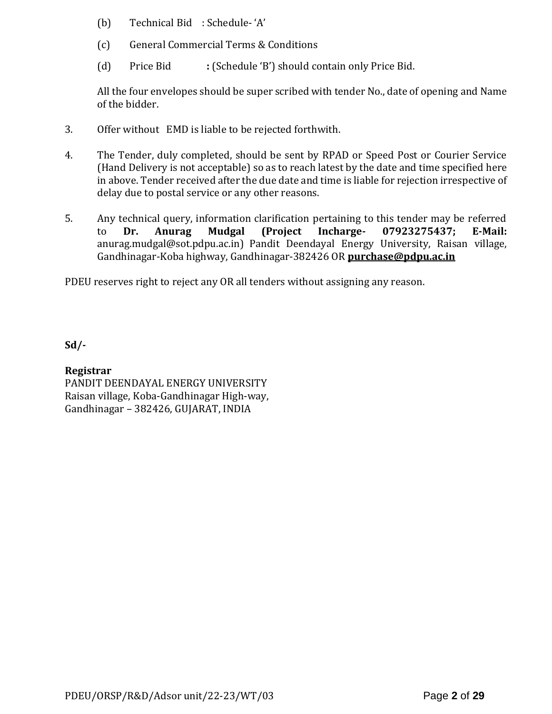- (b) Technical Bid : Schedule- 'A'
- (c) General Commercial Terms & Conditions
- (d) Price Bid **:** (Schedule 'B') should contain only Price Bid.

All the four envelopes should be super scribed with tender No., date of opening and Name of the bidder.

- 3. Offer without EMD is liable to be rejected forthwith.
- 4. The Tender, duly completed, should be sent by RPAD or Speed Post or Courier Service (Hand Delivery is not acceptable) so as to reach latest by the date and time specified here in above. Tender received after the due date and time is liable for rejection irrespective of delay due to postal service or any other reasons.
- 5. Any technical query, information clarification pertaining to this tender may be referred to **Dr. Anurag Mudgal (Project Incharge- 07923275437; E-Mail:** [anurag.mudgal@sot.pdpu.ac.in\)](mailto:anurag.mudgal@sot.pdpu.ac.in) Pandit Deendayal Energy University, Raisan village, Gandhinagar-Koba highway, Gandhinagar-382426 OR **purchase@pdpu.ac.in**

PDEU reserves right to reject any OR all tenders without assigning any reason.

**Sd/-**

## **Registrar**

PANDIT DEENDAYAL ENERGY UNIVERSITY Raisan village, Koba-Gandhinagar High-way, Gandhinagar – 382426, GUJARAT, INDIA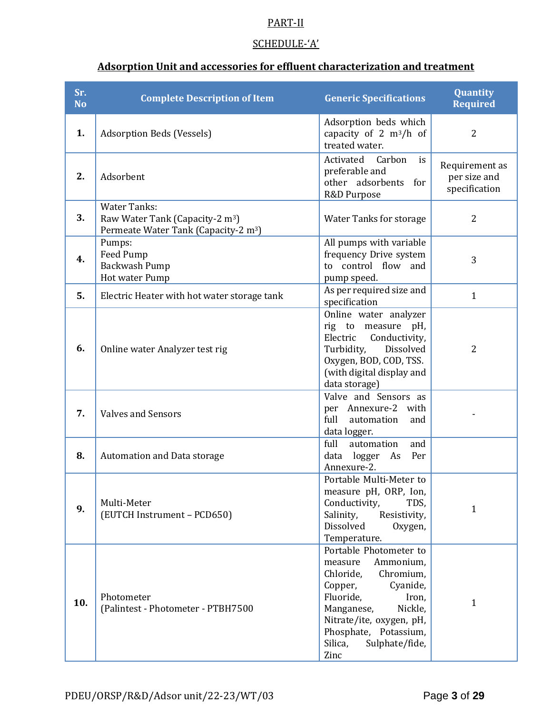## PART-II

## SCHEDULE-'A'

# **Adsorption Unit and accessories for effluent characterization and treatment**

| Sr.<br><b>No</b> | <b>Complete Description of Item</b>                                                                                    | <b>Generic Specifications</b>                                                                                                                                                                                                            | Quantity<br><b>Required</b>                     |
|------------------|------------------------------------------------------------------------------------------------------------------------|------------------------------------------------------------------------------------------------------------------------------------------------------------------------------------------------------------------------------------------|-------------------------------------------------|
| 1.               | <b>Adsorption Beds (Vessels)</b>                                                                                       | Adsorption beds which<br>capacity of 2 $m^3/h$ of<br>treated water.                                                                                                                                                                      | $\overline{2}$                                  |
| 2.               | Adsorbent                                                                                                              | Activated<br>Carbon<br>is<br>preferable and<br>other adsorbents<br>for<br>R&D Purpose                                                                                                                                                    | Requirement as<br>per size and<br>specification |
| 3.               | <b>Water Tanks:</b><br>Raw Water Tank (Capacity-2 m <sup>3</sup> )<br>Permeate Water Tank (Capacity-2 m <sup>3</sup> ) | <b>Water Tanks for storage</b>                                                                                                                                                                                                           | $\overline{2}$                                  |
| 4.               | Pumps:<br>Feed Pump<br>Backwash Pump<br>Hot water Pump                                                                 | All pumps with variable<br>frequency Drive system<br>to control flow and<br>pump speed.                                                                                                                                                  | 3                                               |
| 5.               | Electric Heater with hot water storage tank                                                                            | As per required size and<br>specification                                                                                                                                                                                                | $\mathbf{1}$                                    |
| 6.               | Online water Analyzer test rig                                                                                         | Online water analyzer<br>rig to measure pH,<br>Conductivity,<br>Electric<br>Dissolved<br>Turbidity,<br>Oxygen, BOD, COD, TSS.<br>(with digital display and<br>data storage)                                                              | $\overline{2}$                                  |
| 7.               | <b>Valves and Sensors</b>                                                                                              | Valve and Sensors as<br>per Annexure-2 with<br>full<br>automation<br>and<br>data logger.                                                                                                                                                 |                                                 |
| 8.               | <b>Automation and Data storage</b>                                                                                     | full<br>automation<br>and<br>Per<br>data logger As<br>Annexure-2.                                                                                                                                                                        |                                                 |
| 9.               | Multi-Meter<br>(EUTCH Instrument - PCD650)                                                                             | Portable Multi-Meter to<br>measure pH, ORP, Ion,<br>Conductivity,<br>TDS,<br>Salinity,<br>Resistivity,<br>Dissolved<br>Oxygen,<br>Temperature.                                                                                           | $\mathbf{1}$                                    |
| 10.              | Photometer<br>(Palintest - Photometer - PTBH7500                                                                       | Portable Photometer to<br>Ammonium,<br>measure<br>Chloride,<br>Chromium,<br>Cyanide,<br>Copper,<br>Fluoride,<br>Iron,<br>Nickle,<br>Manganese,<br>Nitrate/ite, oxygen, pH,<br>Phosphate, Potassium,<br>Silica,<br>Sulphate/fide,<br>Zinc | $\mathbf{1}$                                    |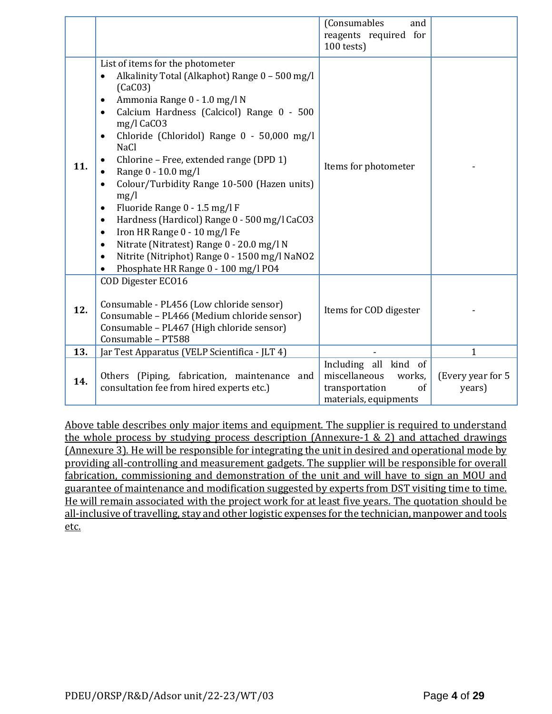|     |                                                                                                                                                                                                                                                                                                                                                                                                                                                                                                                                                                                                                                                                                                                                                                                                               | (Consumables<br>and<br>reagents required for<br>$100$ tests)                                      |                             |
|-----|---------------------------------------------------------------------------------------------------------------------------------------------------------------------------------------------------------------------------------------------------------------------------------------------------------------------------------------------------------------------------------------------------------------------------------------------------------------------------------------------------------------------------------------------------------------------------------------------------------------------------------------------------------------------------------------------------------------------------------------------------------------------------------------------------------------|---------------------------------------------------------------------------------------------------|-----------------------------|
| 11. | List of items for the photometer<br>Alkalinity Total (Alkaphot) Range 0 - 500 mg/l<br>$\bullet$<br>(CaC03)<br>Ammonia Range 0 - 1.0 mg/l N<br>$\bullet$<br>Calcium Hardness (Calcicol) Range 0 - 500<br>$\bullet$<br>mg/l CaCO3<br>Chloride (Chloridol) Range 0 - 50,000 mg/l<br>$\bullet$<br><b>NaCl</b><br>Chlorine - Free, extended range (DPD 1)<br>$\bullet$<br>Range 0 - 10.0 mg/l<br>$\bullet$<br>Colour/Turbidity Range 10-500 (Hazen units)<br>$\bullet$<br>mg/l<br>Fluoride Range 0 - 1.5 mg/l F<br>$\bullet$<br>Hardness (Hardicol) Range 0 - 500 mg/l CaCO3<br>$\bullet$<br>Iron HR Range 0 - 10 mg/l Fe<br>$\bullet$<br>Nitrate (Nitratest) Range 0 - 20.0 mg/l N<br>$\bullet$<br>Nitrite (Nitriphot) Range 0 - 1500 mg/l NaNO2<br>$\bullet$<br>Phosphate HR Range 0 - 100 mg/l PO4<br>$\bullet$ | Items for photometer                                                                              |                             |
| 12. | COD Digester ECO16<br>Consumable - PL456 (Low chloride sensor)<br>Consumable - PL466 (Medium chloride sensor)<br>Consumable - PL467 (High chloride sensor)<br>Consumable - PT588                                                                                                                                                                                                                                                                                                                                                                                                                                                                                                                                                                                                                              | Items for COD digester                                                                            |                             |
| 13. | Jar Test Apparatus (VELP Scientifica - JLT 4)                                                                                                                                                                                                                                                                                                                                                                                                                                                                                                                                                                                                                                                                                                                                                                 |                                                                                                   | 1                           |
| 14. | Others (Piping, fabrication, maintenance and<br>consultation fee from hired experts etc.)                                                                                                                                                                                                                                                                                                                                                                                                                                                                                                                                                                                                                                                                                                                     | Including all kind of<br>miscellaneous<br>works,<br>transportation<br>of<br>materials, equipments | (Every year for 5<br>years) |

Above table describes only major items and equipment. The supplier is required to understand the whole process by studying process description (Annexure-1 & 2) and attached drawings (Annexure 3). He will be responsible for integrating the unit in desired and operational mode by providing all-controlling and measurement gadgets. The supplier will be responsible for overall fabrication, commissioning and demonstration of the unit and will have to sign an MOU and guarantee of maintenance and modification suggested by experts from DST visiting time to time. He will remain associated with the project work for at least five years. The quotation should be all-inclusive of travelling, stay and other logistic expenses for the technician, manpower and tools etc.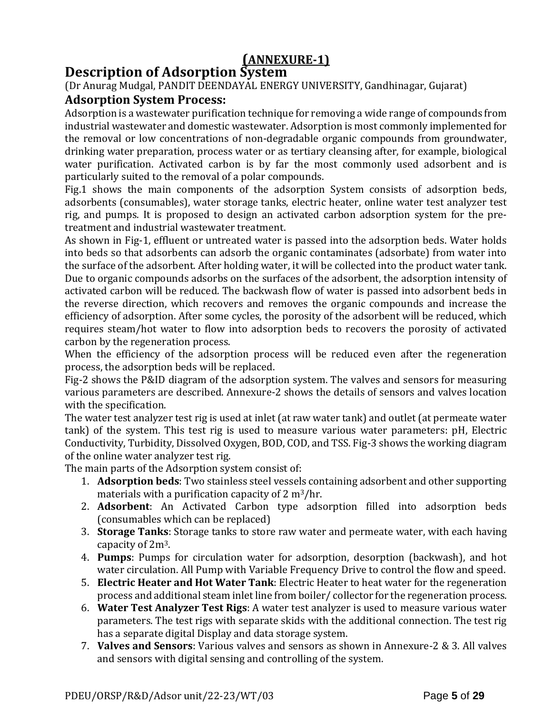# **(ANNEXURE-1)**

# **Description of Adsorption System**

(Dr Anurag Mudgal, PANDIT DEENDAYAL ENERGY UNIVERSITY, Gandhinagar, Gujarat) **Adsorption System Process:**

Adsorption is a wastewater purification technique for removing a wide range of compounds from industrial wastewater and domestic wastewater. Adsorption is most commonly implemented for the removal or low concentrations of non-degradable organic compounds from groundwater, drinking water preparation, process water or as tertiary cleansing after, for example, biological water purification. Activated carbon is by far the most commonly used adsorbent and is particularly suited to the removal of a polar compounds.

Fig.1 shows the main components of the adsorption System consists of adsorption beds, adsorbents (consumables), water storage tanks, electric heater, online water test analyzer test rig, and pumps. It is proposed to design an activated carbon adsorption system for the pretreatment and industrial wastewater treatment.

As shown in Fig-1, effluent or untreated water is passed into the adsorption beds. Water holds into beds so that adsorbents can adsorb the organic contaminates (adsorbate) from water into the surface of the adsorbent. After holding water, it will be collected into the product water tank. Due to organic compounds adsorbs on the surfaces of the adsorbent, the adsorption intensity of activated carbon will be reduced. The backwash flow of water is passed into adsorbent beds in the reverse direction, which recovers and removes the organic compounds and increase the efficiency of adsorption. After some cycles, the porosity of the adsorbent will be reduced, which requires steam/hot water to flow into adsorption beds to recovers the porosity of activated carbon by the regeneration process.

When the efficiency of the adsorption process will be reduced even after the regeneration process, the adsorption beds will be replaced.

Fig-2 shows the P&ID diagram of the adsorption system. The valves and sensors for measuring various parameters are described. Annexure-2 shows the details of sensors and valves location with the specification.

The water test analyzer test rig is used at inlet (at raw water tank) and outlet (at permeate water tank) of the system. This test rig is used to measure various water parameters: pH, Electric Conductivity, Turbidity, Dissolved Oxygen, BOD, COD, and TSS. Fig-3 shows the working diagram of the online water analyzer test rig.

The main parts of the Adsorption system consist of:

- 1. **Adsorption beds**: Two stainless steel vessels containing adsorbent and other supporting materials with a purification capacity of 2 m3/hr.
- 2. **Adsorbent**: An Activated Carbon type adsorption filled into adsorption beds (consumables which can be replaced)
- 3. **Storage Tanks**: Storage tanks to store raw water and permeate water, with each having capacity of 2m3.
- 4. **Pumps**: Pumps for circulation water for adsorption, desorption (backwash), and hot water circulation. All Pump with Variable Frequency Drive to control the flow and speed.
- 5. **Electric Heater and Hot Water Tank**: Electric Heater to heat water for the regeneration process and additional steam inlet line from boiler/ collector for the regeneration process.
- 6. **Water Test Analyzer Test Rigs**: A water test analyzer is used to measure various water parameters. The test rigs with separate skids with the additional connection. The test rig has a separate digital Display and data storage system.
- 7. **Valves and Sensors**: Various valves and sensors as shown in Annexure-2 & 3. All valves and sensors with digital sensing and controlling of the system.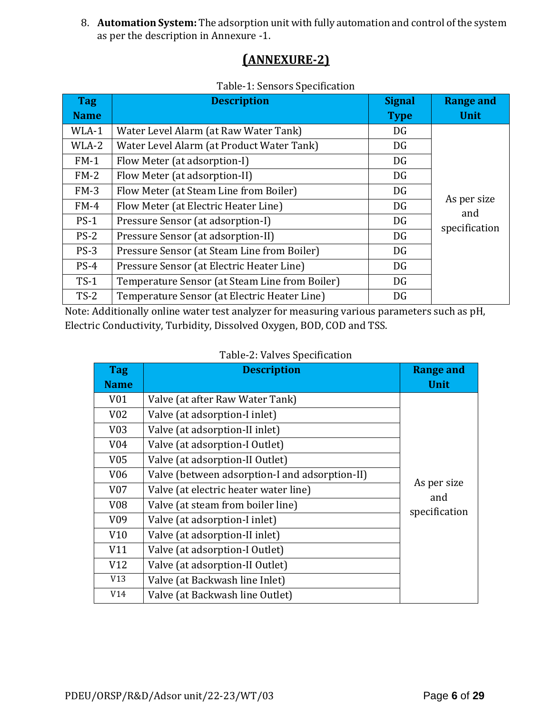8. **Automation System:** The adsorption unit with fully automation and control of the system as per the description in Annexure -1.

# **(ANNEXURE-2)**

# Table-1: Sensors Specification

| <b>Tag</b>  | <b>Description</b>                             | <b>Signal</b> | <b>Range and</b>   |
|-------------|------------------------------------------------|---------------|--------------------|
| <b>Name</b> |                                                | <b>Type</b>   | <b>Unit</b>        |
| WLA-1       | Water Level Alarm (at Raw Water Tank)          | DG            |                    |
| WLA-2       | Water Level Alarm (at Product Water Tank)      | DG            |                    |
| $FM-1$      | Flow Meter (at adsorption-I)                   | DG            |                    |
| $FM-2$      | Flow Meter (at adsorption-II)                  | DG            |                    |
| $FM-3$      | Flow Meter (at Steam Line from Boiler)         | DG            |                    |
| $FM-4$      | Flow Meter (at Electric Heater Line)           | DG            | As per size<br>and |
| $PS-1$      | Pressure Sensor (at adsorption-I)              | DG            | specification      |
| $PS-2$      | Pressure Sensor (at adsorption-II)             | DG            |                    |
| $PS-3$      | Pressure Sensor (at Steam Line from Boiler)    | DG            |                    |
| $PS-4$      | Pressure Sensor (at Electric Heater Line)      | DG            |                    |
| $TS-1$      | Temperature Sensor (at Steam Line from Boiler) | DG            |                    |
| $TS-2$      | Temperature Sensor (at Electric Heater Line)   | DG            |                    |

Note: Additionally online water test analyzer for measuring various parameters such as pH, Electric Conductivity, Turbidity, Dissolved Oxygen, BOD, COD and TSS.

| <b>Tag</b><br><b>Name</b> | <b>Description</b>                             | <b>Range and</b><br><b>Unit</b> |
|---------------------------|------------------------------------------------|---------------------------------|
| V01                       | Valve (at after Raw Water Tank)                |                                 |
| V <sub>02</sub>           | Valve (at adsorption-I inlet)                  |                                 |
| V03                       | Valve (at adsorption-II inlet)                 |                                 |
| V <sub>04</sub>           | Valve (at adsorption-I Outlet)                 |                                 |
| V <sub>05</sub>           | Valve (at adsorption-II Outlet)                |                                 |
| V06                       | Valve (between adsorption-I and adsorption-II) |                                 |
| V <sub>07</sub>           | Valve (at electric heater water line)          | As per size                     |
| V <sub>0</sub> 8          | Valve (at steam from boiler line)              | and<br>specification            |
| V <sub>09</sub>           | Valve (at adsorption-I inlet)                  |                                 |
| V10                       | Valve (at adsorption-II inlet)                 |                                 |
| V11                       | Valve (at adsorption-I Outlet)                 |                                 |
| V12                       | Valve (at adsorption-II Outlet)                |                                 |
| V13                       | Valve (at Backwash line Inlet)                 |                                 |
| V14                       | Valve (at Backwash line Outlet)                |                                 |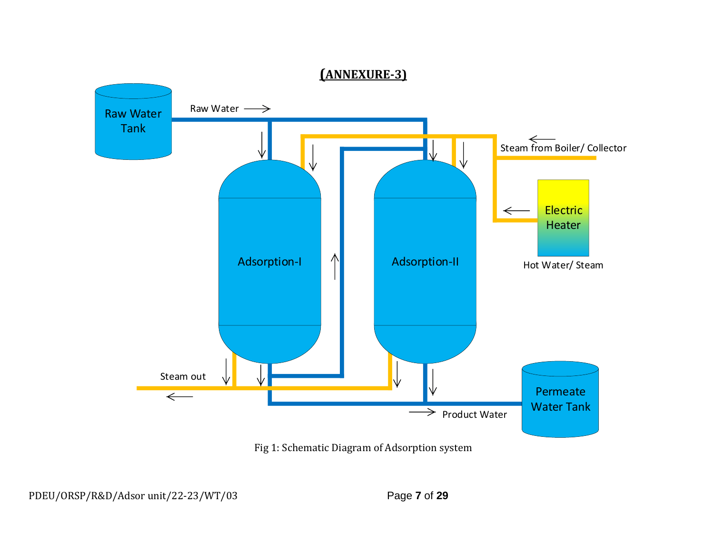

Fig 1: Schematic Diagram of Adsorption system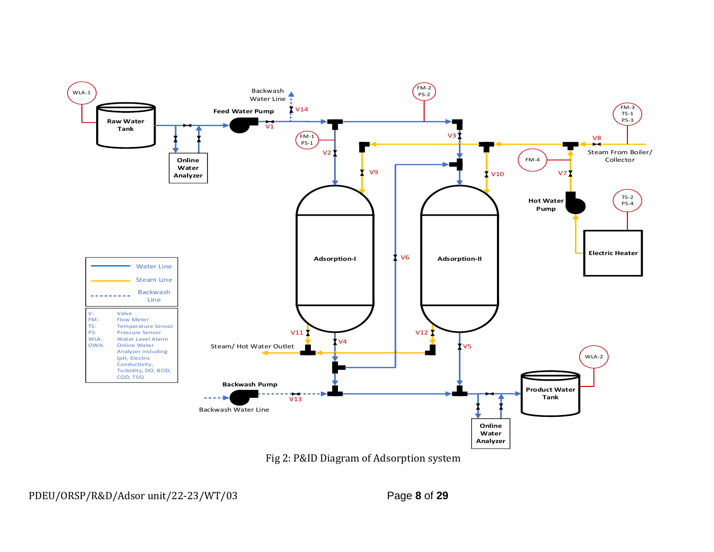

Fig 2: P&ID Diagram of Adsorption system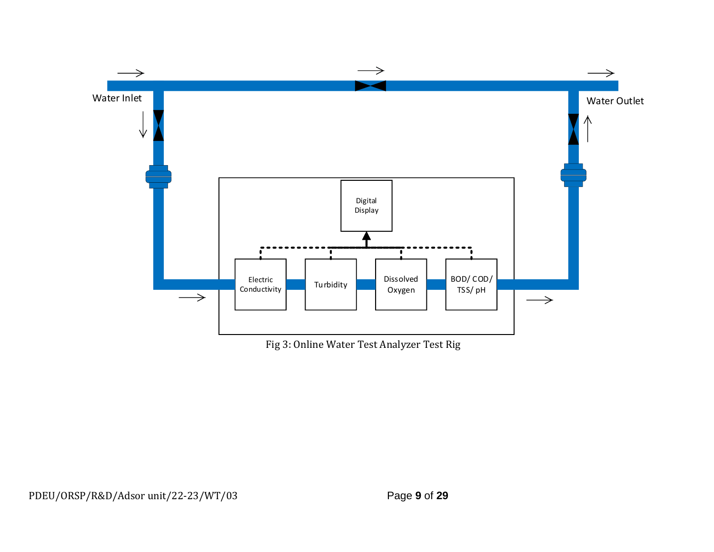

Fig 3: Online Water Test Analyzer Test Rig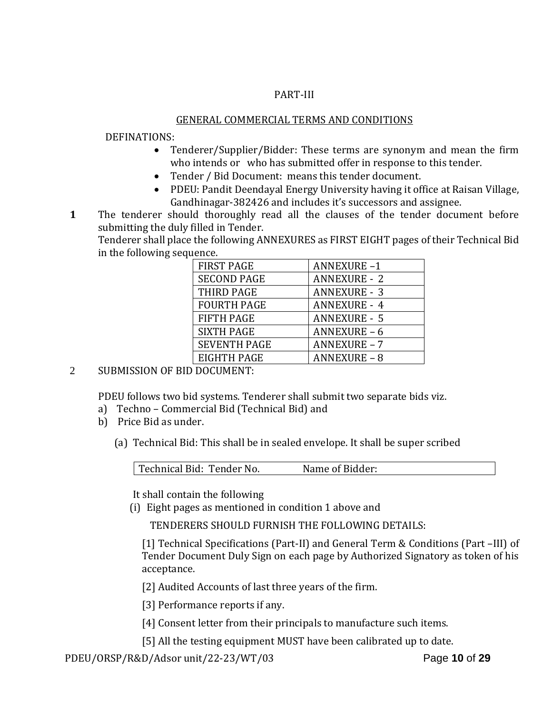#### PART-III

## GENERAL COMMERCIAL TERMS AND CONDITIONS

#### DEFINATIONS:

- Tenderer/Supplier/Bidder: These terms are synonym and mean the firm who intends or who has submitted offer in response to this tender.
- Tender / Bid Document: means this tender document.
- PDEU: Pandit Deendayal Energy University having it office at Raisan Village, Gandhinagar-382426 and includes it's successors and assignee.
- **1**1. The tenderer should thoroughly read all the clauses of the tender document before submitting the duly filled in Tender.

Tenderer shall place the following ANNEXURES as FIRST EIGHT pages of their Technical Bid in the following sequence.

| <b>FIRST PAGE</b>   | <b>ANNEXURE-1</b>   |
|---------------------|---------------------|
| <b>SECOND PAGE</b>  | <b>ANNEXURE - 2</b> |
| THIRD PAGE          | <b>ANNEXURE - 3</b> |
| <b>FOURTH PAGE</b>  | <b>ANNEXURE - 4</b> |
| <b>FIFTH PAGE</b>   | <b>ANNEXURE - 5</b> |
| <b>SIXTH PAGE</b>   | ANNEXURE-6          |
| <b>SEVENTH PAGE</b> | <b>ANNEXURE - 7</b> |
| EIGHTH PAGE         | <b>ANNEXURE - 8</b> |

2 SUBMISSION OF BID DOCUMENT:

PDEU follows two bid systems. Tenderer shall submit two separate bids viz.

- a) Techno Commercial Bid (Technical Bid) and
- b) Price Bid as under.
	- (a) Technical Bid: This shall be in sealed envelope. It shall be super scribed

| Technical Bid: Tender No. | Name of Bidder: |  |
|---------------------------|-----------------|--|

It shall contain the following

(i) Eight pages as mentioned in condition 1 above and

TENDERERS SHOULD FURNISH THE FOLLOWING DETAILS:

[1] Technical Specifications (Part-II) and General Term & Conditions (Part –III) of Tender Document Duly Sign on each page by Authorized Signatory as token of his acceptance.

[2] Audited Accounts of last three years of the firm.

[3] Performance reports if any.

- [4] Consent letter from their principals to manufacture such items.
- [5] All the testing equipment MUST have been calibrated up to date.

PDEU/ORSP/R&D/Adsor unit/22-23/WT/03Page **10** of **29**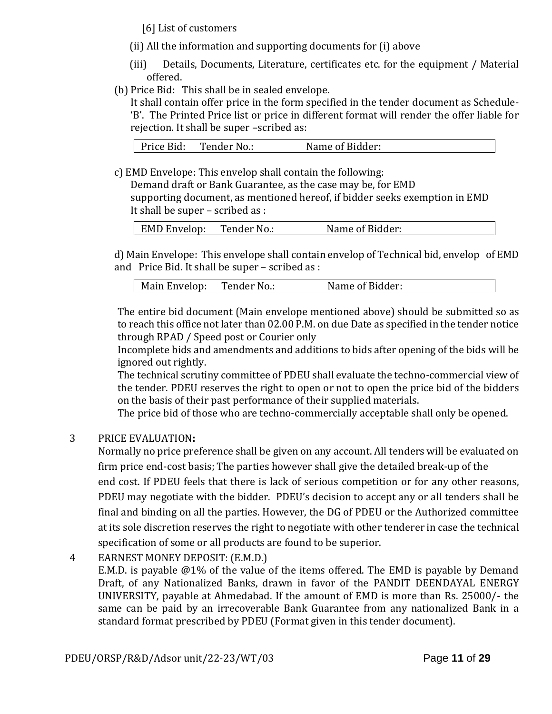[6] List of customers

- (ii) All the information and supporting documents for (i) above
- (iii) Details, Documents, Literature, certificates etc. for the equipment / Material offered.
- (b) Price Bid: This shall be in sealed envelope.

It shall contain offer price in the form specified in the tender document as Schedule- 'B'. The Printed Price list or price in different format will render the offer liable for rejection. It shall be super –scribed as:

c) EMD Envelope: This envelop shall contain the following:

Demand draft or Bank Guarantee, as the case may be, for EMD supporting document, as mentioned hereof, if bidder seeks exemption in EMD It shall be super – scribed as :

| <b>EMD Envelop:</b><br>Tender No.: | Name of Bidder: |  |
|------------------------------------|-----------------|--|
|------------------------------------|-----------------|--|

d) Main Envelope: This envelope shall contain envelop of Technical bid, envelop of EMD and Price Bid. It shall be super – scribed as :

The entire bid document (Main envelope mentioned above) should be submitted so as to reach this office not later than 02.00 P.M. on due Date as specified in the tender notice through RPAD / Speed post or Courier only

Incomplete bids and amendments and additions to bids after opening of the bids will be ignored out rightly.

The technical scrutiny committee of PDEU shall evaluate the techno-commercial view of the tender. PDEU reserves the right to open or not to open the price bid of the bidders on the basis of their past performance of their supplied materials.

The price bid of those who are techno-commercially acceptable shall only be opened.

## 3 PRICE EVALUATION**:**

Normally no price preference shall be given on any account. All tenders will be evaluated on firm price end-cost basis; The parties however shall give the detailed break-up of the end cost. If PDEU feels that there is lack of serious competition or for any other reasons, PDEU may negotiate with the bidder. PDEU's decision to accept any or all tenders shall be final and binding on all the parties. However, the DG of PDEU or the Authorized committee at its sole discretion reserves the right to negotiate with other tenderer in case the technical specification of some or all products are found to be superior.

4 EARNEST MONEY DEPOSIT: (E.M.D.) E.M.D. is payable @1% of the value of the items offered. The EMD is payable by Demand Draft, of any Nationalized Banks, drawn in favor of the PANDIT DEENDAYAL ENERGY UNIVERSITY, payable at Ahmedabad. If the amount of EMD is more than Rs. 25000/- the same can be paid by an irrecoverable Bank Guarantee from any nationalized Bank in a standard format prescribed by PDEU (Format given in this tender document).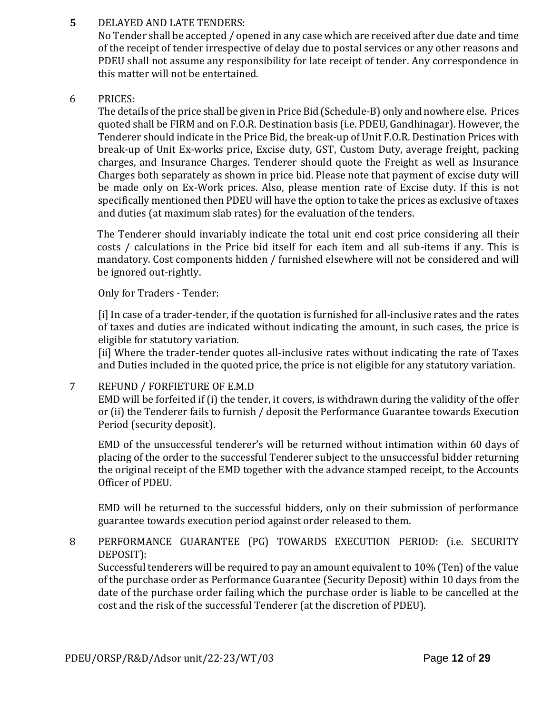**5** DELAYED AND LATE TENDERS:

No Tender shall be accepted / opened in any case which are received after due date and time of the receipt of tender irrespective of delay due to postal services or any other reasons and PDEU shall not assume any responsibility for late receipt of tender. Any correspondence in this matter will not be entertained.

6 PRICES:

The details of the price shall be given in Price Bid (Schedule-B) only and nowhere else. Prices quoted shall be FIRM and on F.O.R. Destination basis (i.e. PDEU, Gandhinagar). However, the Tenderer should indicate in the Price Bid, the break-up of Unit F.O.R. Destination Prices with break-up of Unit Ex-works price, Excise duty, GST, Custom Duty, average freight, packing charges, and Insurance Charges. Tenderer should quote the Freight as well as Insurance Charges both separately as shown in price bid. Please note that payment of excise duty will be made only on Ex-Work prices. Also, please mention rate of Excise duty. If this is not specifically mentioned then PDEU will have the option to take the prices as exclusive of taxes and duties (at maximum slab rates) for the evaluation of the tenders.

The Tenderer should invariably indicate the total unit end cost price considering all their costs / calculations in the Price bid itself for each item and all sub-items if any. This is mandatory. Cost components hidden / furnished elsewhere will not be considered and will be ignored out-rightly.

Only for Traders - Tender:

[i] In case of a trader-tender, if the quotation is furnished for all-inclusive rates and the rates of taxes and duties are indicated without indicating the amount, in such cases, the price is eligible for statutory variation.

[ii] Where the trader-tender quotes all-inclusive rates without indicating the rate of Taxes and Duties included in the quoted price, the price is not eligible for any statutory variation.

## 7 REFUND / FORFIETURE OF E.M.D

EMD will be forfeited if (i) the tender, it covers, is withdrawn during the validity of the offer or (ii) the Tenderer fails to furnish / deposit the Performance Guarantee towards Execution Period (security deposit).

EMD of the unsuccessful tenderer's will be returned without intimation within 60 days of placing of the order to the successful Tenderer subject to the unsuccessful bidder returning the original receipt of the EMD together with the advance stamped receipt, to the Accounts Officer of PDEU.

EMD will be returned to the successful bidders, only on their submission of performance guarantee towards execution period against order released to them.

## 8 PERFORMANCE GUARANTEE (PG) TOWARDS EXECUTION PERIOD: (i.e. SECURITY DEPOSIT):

Successful tenderers will be required to pay an amount equivalent to 10% (Ten) of the value of the purchase order as Performance Guarantee (Security Deposit) within 10 days from the date of the purchase order failing which the purchase order is liable to be cancelled at the cost and the risk of the successful Tenderer (at the discretion of PDEU).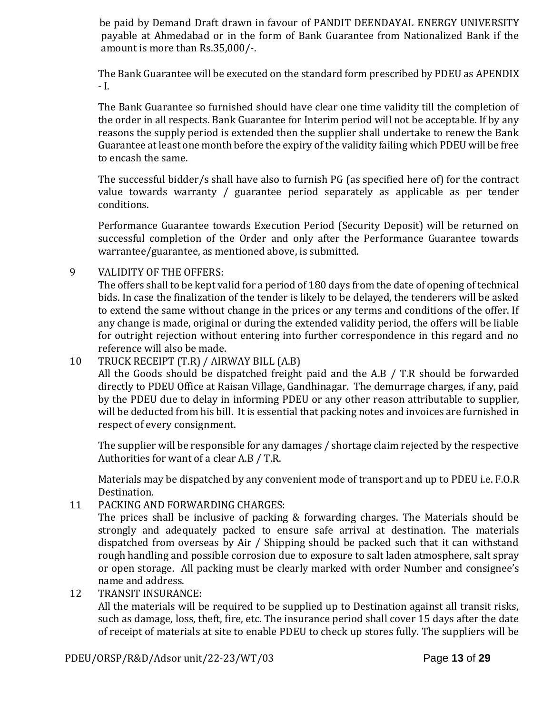be paid by Demand Draft drawn in favour of PANDIT DEENDAYAL ENERGY UNIVERSITY payable at Ahmedabad or in the form of Bank Guarantee from Nationalized Bank if the amount is more than Rs.35,000/-.

The Bank Guarantee will be executed on the standard form prescribed by PDEU as APENDIX - I.

The Bank Guarantee so furnished should have clear one time validity till the completion of the order in all respects. Bank Guarantee for Interim period will not be acceptable. If by any reasons the supply period is extended then the supplier shall undertake to renew the Bank Guarantee at least one month before the expiry of the validity failing which PDEU will be free to encash the same.

The successful bidder/s shall have also to furnish PG (as specified here of) for the contract value towards warranty / guarantee period separately as applicable as per tender conditions.

Performance Guarantee towards Execution Period (Security Deposit) will be returned on successful completion of the Order and only after the Performance Guarantee towards warrantee/guarantee, as mentioned above, is submitted.

## 9 VALIDITY OF THE OFFERS:

The offers shall to be kept valid for a period of 180 days from the date of opening of technical bids. In case the finalization of the tender is likely to be delayed, the tenderers will be asked to extend the same without change in the prices or any terms and conditions of the offer. If any change is made, original or during the extended validity period, the offers will be liable for outright rejection without entering into further correspondence in this regard and no reference will also be made.

## 10 TRUCK RECEIPT (T.R) / AIRWAY BILL (A.B)

All the Goods should be dispatched freight paid and the A.B / T.R should be forwarded directly to PDEU Office at Raisan Village, Gandhinagar. The demurrage charges, if any, paid by the PDEU due to delay in informing PDEU or any other reason attributable to supplier, will be deducted from his bill. It is essential that packing notes and invoices are furnished in respect of every consignment.

The supplier will be responsible for any damages / shortage claim rejected by the respective Authorities for want of a clear A.B / T.R.

Materials may be dispatched by any convenient mode of transport and up to PDEU i.e. F.O.R Destination.

11 PACKING AND FORWARDING CHARGES:

The prices shall be inclusive of packing & forwarding charges. The Materials should be strongly and adequately packed to ensure safe arrival at destination. The materials dispatched from overseas by Air / Shipping should be packed such that it can withstand rough handling and possible corrosion due to exposure to salt laden atmosphere, salt spray or open storage. All packing must be clearly marked with order Number and consignee's name and address.

12 TRANSIT INSURANCE:

All the materials will be required to be supplied up to Destination against all transit risks, such as damage, loss, theft, fire, etc. The insurance period shall cover 15 days after the date of receipt of materials at site to enable PDEU to check up stores fully. The suppliers will be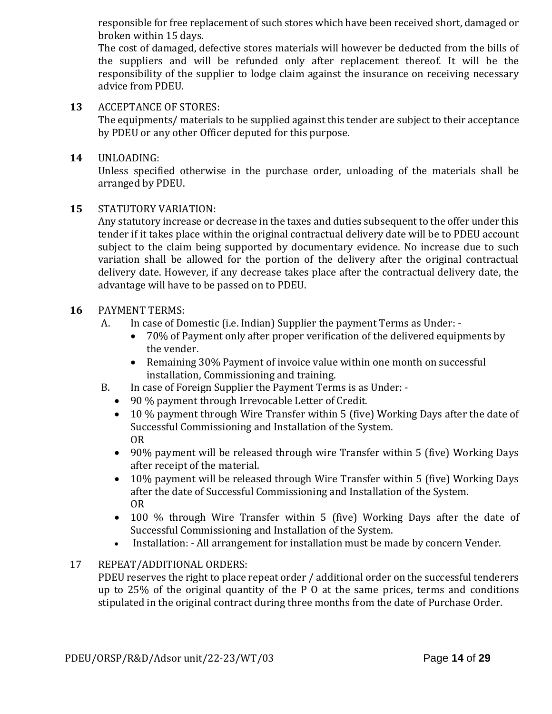responsible for free replacement of such stores which have been received short, damaged or broken within 15 days.

The cost of damaged, defective stores materials will however be deducted from the bills of the suppliers and will be refunded only after replacement thereof. It will be the responsibility of the supplier to lodge claim against the insurance on receiving necessary advice from PDEU.

**13** ACCEPTANCE OF STORES:

The equipments/ materials to be supplied against this tender are subject to their acceptance by PDEU or any other Officer deputed for this purpose.

## **14** UNLOADING:

Unless specified otherwise in the purchase order, unloading of the materials shall be arranged by PDEU.

## **15** STATUTORY VARIATION:

Any statutory increase or decrease in the taxes and duties subsequent to the offer under this tender if it takes place within the original contractual delivery date will be to PDEU account subject to the claim being supported by documentary evidence. No increase due to such variation shall be allowed for the portion of the delivery after the original contractual delivery date. However, if any decrease takes place after the contractual delivery date, the advantage will have to be passed on to PDEU.

## **16** PAYMENT TERMS:

- A. In case of Domestic (i.e. Indian) Supplier the payment Terms as Under:
	- 70% of Payment only after proper verification of the delivered equipments by the vender.
	- Remaining 30% Payment of invoice value within one month on successful installation, Commissioning and training.
- B. In case of Foreign Supplier the Payment Terms is as Under:
	- 90 % payment through Irrevocable Letter of Credit.
	- 10 % payment through Wire Transfer within 5 (five) Working Days after the date of Successful Commissioning and Installation of the System. OR
	- 90% payment will be released through wire Transfer within 5 (five) Working Days after receipt of the material.
	- 10% payment will be released through Wire Transfer within 5 (five) Working Days after the date of Successful Commissioning and Installation of the System. OR
	- 100 % through Wire Transfer within 5 (five) Working Days after the date of Successful Commissioning and Installation of the System.
	- Installation: All arrangement for installation must be made by concern Vender.

## 17 REPEAT/ADDITIONAL ORDERS:

PDEU reserves the right to place repeat order / additional order on the successful tenderers up to 25% of the original quantity of the P O at the same prices, terms and conditions stipulated in the original contract during three months from the date of Purchase Order.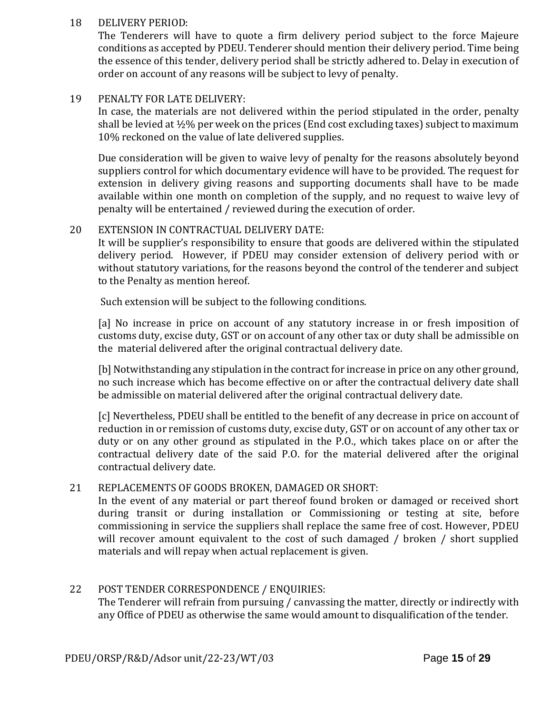#### 18 DELIVERY PERIOD:

The Tenderers will have to quote a firm delivery period subject to the force Majeure conditions as accepted by PDEU. Tenderer should mention their delivery period. Time being the essence of this tender, delivery period shall be strictly adhered to. Delay in execution of order on account of any reasons will be subject to levy of penalty.

#### 19 PENALTY FOR LATE DELIVERY:

In case, the materials are not delivered within the period stipulated in the order, penalty shall be levied at ½% per week on the prices (End cost excluding taxes) subject to maximum 10% reckoned on the value of late delivered supplies.

Due consideration will be given to waive levy of penalty for the reasons absolutely beyond suppliers control for which documentary evidence will have to be provided. The request for extension in delivery giving reasons and supporting documents shall have to be made available within one month on completion of the supply, and no request to waive levy of penalty will be entertained / reviewed during the execution of order.

#### 20 EXTENSION IN CONTRACTUAL DELIVERY DATE:

It will be supplier's responsibility to ensure that goods are delivered within the stipulated delivery period. However, if PDEU may consider extension of delivery period with or without statutory variations, for the reasons beyond the control of the tenderer and subject to the Penalty as mention hereof.

Such extension will be subject to the following conditions.

[a] No increase in price on account of any statutory increase in or fresh imposition of customs duty, excise duty, GST or on account of any other tax or duty shall be admissible on the material delivered after the original contractual delivery date.

[b] Notwithstanding any stipulation in the contract for increase in price on any other ground, no such increase which has become effective on or after the contractual delivery date shall be admissible on material delivered after the original contractual delivery date.

[c] Nevertheless, PDEU shall be entitled to the benefit of any decrease in price on account of reduction in or remission of customs duty, excise duty, GST or on account of any other tax or duty or on any other ground as stipulated in the P.O., which takes place on or after the contractual delivery date of the said P.O. for the material delivered after the original contractual delivery date.

#### 21 REPLACEMENTS OF GOODS BROKEN, DAMAGED OR SHORT:

In the event of any material or part thereof found broken or damaged or received short during transit or during installation or Commissioning or testing at site, before commissioning in service the suppliers shall replace the same free of cost. However, PDEU will recover amount equivalent to the cost of such damaged / broken / short supplied materials and will repay when actual replacement is given.

## 22 POST TENDER CORRESPONDENCE / ENQUIRIES:

The Tenderer will refrain from pursuing / canvassing the matter, directly or indirectly with any Office of PDEU as otherwise the same would amount to disqualification of the tender.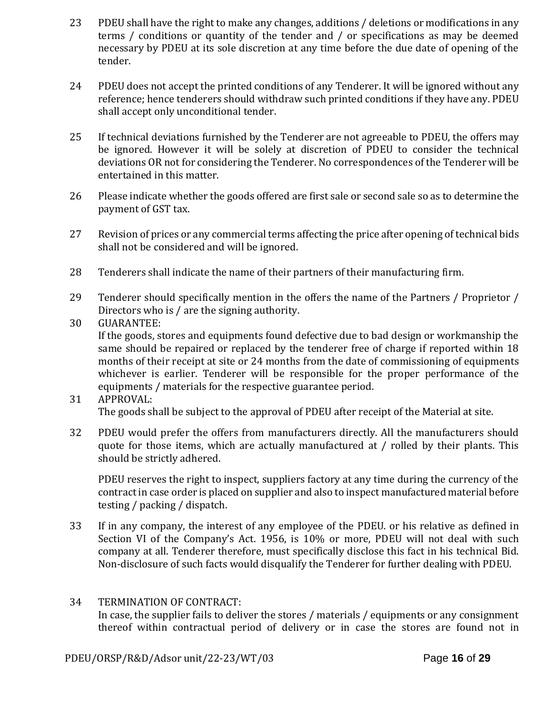- 23 PDEU shall have the right to make any changes, additions / deletions or modifications in any terms / conditions or quantity of the tender and / or specifications as may be deemed necessary by PDEU at its sole discretion at any time before the due date of opening of the tender.
- 24 PDEU does not accept the printed conditions of any Tenderer. It will be ignored without any reference; hence tenderers should withdraw such printed conditions if they have any. PDEU shall accept only unconditional tender.
- 25 If technical deviations furnished by the Tenderer are not agreeable to PDEU, the offers may be ignored. However it will be solely at discretion of PDEU to consider the technical deviations OR not for considering the Tenderer. No correspondences of the Tenderer will be entertained in this matter.
- 26 Please indicate whether the goods offered are first sale or second sale so as to determine the payment of GST tax.
- 27 Revision of prices or any commercial terms affecting the price after opening of technical bids shall not be considered and will be ignored.
- 28 Tenderers shall indicate the name of their partners of their manufacturing firm.
- 29 Tenderer should specifically mention in the offers the name of the Partners / Proprietor / Directors who is / are the signing authority.
- 30 GUARANTEE:

If the goods, stores and equipments found defective due to bad design or workmanship the same should be repaired or replaced by the tenderer free of charge if reported within 18 months of their receipt at site or 24 months from the date of commissioning of equipments whichever is earlier. Tenderer will be responsible for the proper performance of the equipments / materials for the respective guarantee period.

## 31 APPROVAL: The goods shall be subject to the approval of PDEU after receipt of the Material at site.

32 PDEU would prefer the offers from manufacturers directly. All the manufacturers should quote for those items, which are actually manufactured at / rolled by their plants. This should be strictly adhered.

PDEU reserves the right to inspect, suppliers factory at any time during the currency of the contract in case order is placed on supplier and also to inspect manufactured material before testing / packing / dispatch.

33 If in any company, the interest of any employee of the PDEU. or his relative as defined in Section VI of the Company's Act. 1956, is 10% or more, PDEU will not deal with such company at all. Tenderer therefore, must specifically disclose this fact in his technical Bid. Non-disclosure of such facts would disqualify the Tenderer for further dealing with PDEU.

## 34 TERMINATION OF CONTRACT: In case, the supplier fails to deliver the stores / materials / equipments or any consignment thereof within contractual period of delivery or in case the stores are found not in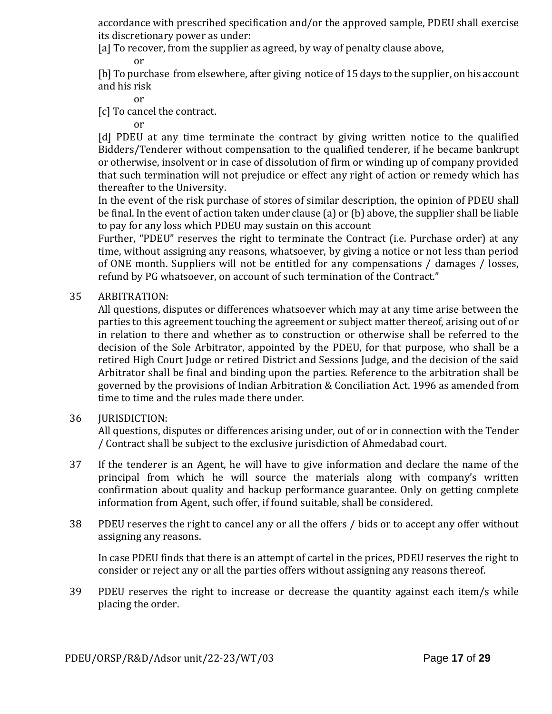accordance with prescribed specification and/or the approved sample, PDEU shall exercise its discretionary power as under:

[a] To recover, from the supplier as agreed, by way of penalty clause above,

or

[b] To purchase from elsewhere, after giving notice of 15 days to the supplier, on his account and his risk

or

[c] To cancel the contract.

or

[d] PDEU at any time terminate the contract by giving written notice to the qualified Bidders/Tenderer without compensation to the qualified tenderer, if he became bankrupt or otherwise, insolvent or in case of dissolution of firm or winding up of company provided that such termination will not prejudice or effect any right of action or remedy which has thereafter to the University.

In the event of the risk purchase of stores of similar description, the opinion of PDEU shall be final. In the event of action taken under clause (a) or (b) above, the supplier shall be liable to pay for any loss which PDEU may sustain on this account

Further, "PDEU" reserves the right to terminate the Contract (i.e. Purchase order) at any time, without assigning any reasons, whatsoever, by giving a notice or not less than period of ONE month. Suppliers will not be entitled for any compensations / damages / losses, refund by PG whatsoever, on account of such termination of the Contract."

## 35 ARBITRATION:

All questions, disputes or differences whatsoever which may at any time arise between the parties to this agreement touching the agreement or subject matter thereof, arising out of or in relation to there and whether as to construction or otherwise shall be referred to the decision of the Sole Arbitrator, appointed by the PDEU, for that purpose, who shall be a retired High Court Judge or retired District and Sessions Judge, and the decision of the said Arbitrator shall be final and binding upon the parties. Reference to the arbitration shall be governed by the provisions of Indian Arbitration & Conciliation Act. 1996 as amended from time to time and the rules made there under.

## 36 **IURISDICTION:**

All questions, disputes or differences arising under, out of or in connection with the Tender / Contract shall be subject to the exclusive jurisdiction of Ahmedabad court.

- 37 If the tenderer is an Agent, he will have to give information and declare the name of the principal from which he will source the materials along with company's written confirmation about quality and backup performance guarantee. Only on getting complete information from Agent, such offer, if found suitable, shall be considered.
- 38 PDEU reserves the right to cancel any or all the offers / bids or to accept any offer without assigning any reasons.

In case PDEU finds that there is an attempt of cartel in the prices, PDEU reserves the right to consider or reject any or all the parties offers without assigning any reasons thereof.

39 PDEU reserves the right to increase or decrease the quantity against each item/s while placing the order.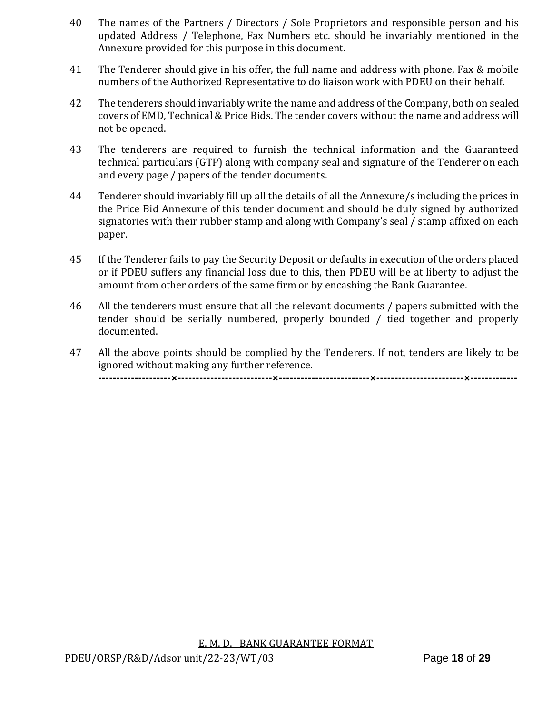- 40 The names of the Partners / Directors / Sole Proprietors and responsible person and his updated Address / Telephone, Fax Numbers etc. should be invariably mentioned in the Annexure provided for this purpose in this document.
- 41 The Tenderer should give in his offer, the full name and address with phone, Fax & mobile numbers of the Authorized Representative to do liaison work with PDEU on their behalf.
- 42 The tenderers should invariably write the name and address of the Company, both on sealed covers of EMD, Technical & Price Bids. The tender covers without the name and address will not be opened.
- 43 The tenderers are required to furnish the technical information and the Guaranteed technical particulars (GTP) along with company seal and signature of the Tenderer on each and every page / papers of the tender documents.
- 44 Tenderer should invariably fill up all the details of all the Annexure/s including the prices in the Price Bid Annexure of this tender document and should be duly signed by authorized signatories with their rubber stamp and along with Company's seal / stamp affixed on each paper.
- 45 If the Tenderer fails to pay the Security Deposit or defaults in execution of the orders placed or if PDEU suffers any financial loss due to this, then PDEU will be at liberty to adjust the amount from other orders of the same firm or by encashing the Bank Guarantee.
- 46 All the tenderers must ensure that all the relevant documents / papers submitted with the tender should be serially numbered, properly bounded / tied together and properly documented.
- 47 All the above points should be complied by the Tenderers. If not, tenders are likely to be ignored without making any further reference. **--------------------×--------------------------×-------------------------×------------------------×-------------**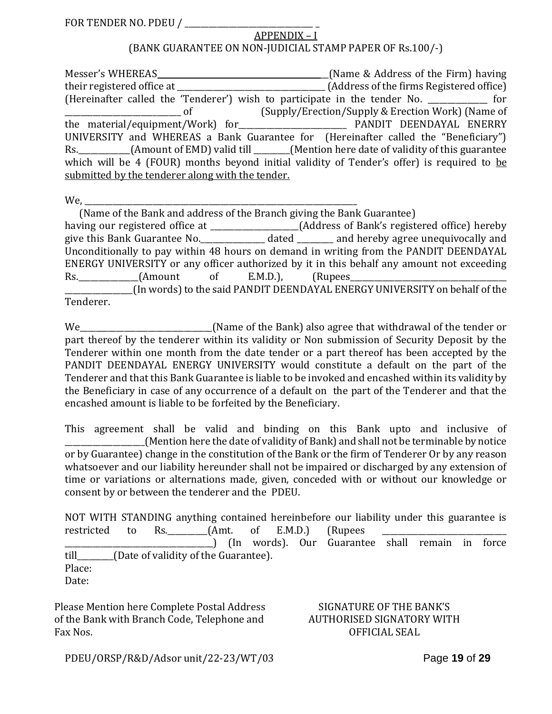| FOR TENDER NO. PDEU / |
|-----------------------|
|-----------------------|

#### APPENDIX – I (BANK GUARANTEE ON NON-JUDICIAL STAMP PAPER OF Rs.100/-)

| Messer's WHEREAS                                 | (Name & Address of the Firm) having                                                             |
|--------------------------------------------------|-------------------------------------------------------------------------------------------------|
|                                                  |                                                                                                 |
|                                                  | (Hereinafter called the 'Tenderer') wish to participate in the tender No. ____________ for      |
| $\circ$ of                                       | (Supply/Erection/Supply & Erection Work) (Name of                                               |
|                                                  |                                                                                                 |
|                                                  | UNIVERSITY and WHEREAS a Bank Guarantee for (Hereinafter called the "Beneficiary")              |
|                                                  | Rs. __________(Amount of EMD) valid till ______(Mention here date of validity of this guarantee |
|                                                  | which will be 4 (FOUR) months beyond initial validity of Tender's offer) is required to be      |
| submitted by the tenderer along with the tender. |                                                                                                 |

 $We, \underline{\hspace{1cm}}$ 

| (Name of the Bank and address of the Branch giving the Bank Guarantee)                           |  |
|--------------------------------------------------------------------------------------------------|--|
|                                                                                                  |  |
| give this Bank Guarantee No. ________________ dated _________ and hereby agree unequivocally and |  |
| Unconditionally to pay within 48 hours on demand in writing from the PANDIT DEENDAYAL            |  |
| ENERGY UNIVERSITY or any officer authorized by it in this behalf any amount not exceeding        |  |
|                                                                                                  |  |
| ______________(In words) to the said PANDIT DEENDAYAL ENERGY UNIVERSITY on behalf of the         |  |
| Tenderer.                                                                                        |  |

We\_\_\_\_\_\_\_\_\_\_\_\_\_\_\_\_\_\_\_\_\_\_\_\_\_\_\_\_\_\_\_\_(Name of the Bank) also agree that withdrawal of the tender or part thereof by the tenderer within its validity or Non submission of Security Deposit by the Tenderer within one month from the date tender or a part thereof has been accepted by the PANDIT DEENDAYAL ENERGY UNIVERSITY would constitute a default on the part of the Tenderer and that this Bank Guarantee is liable to be invoked and encashed within its validity by the Beneficiary in case of any occurrence of a default on the part of the Tenderer and that the encashed amount is liable to be forfeited by the Beneficiary.

This agreement shall be valid and binding on this Bank upto and inclusive of \_\_\_\_\_\_\_\_\_\_\_\_\_\_\_\_\_\_\_\_(Mention here the date of validity of Bank) and shall not be terminable by notice or by Guarantee) change in the constitution of the Bank or the firm of Tenderer Or by any reason whatsoever and our liability hereunder shall not be impaired or discharged by any extension of time or variations or alternations made, given, conceded with or without our knowledge or consent by or between the tenderer and the PDEU.

NOT WITH STANDING anything contained hereinbefore our liability under this guarantee is restricted to Rs.\_\_\_\_\_\_\_\_\_\_(Amt. of E.M.D.) (Rupees \_\_\_\_\_\_\_\_\_\_\_\_\_\_\_\_\_\_\_\_\_\_\_\_\_\_\_\_\_\_\_\_\_\_\_\_\_) (In words). Our Guarantee shall remain in force till [Date of validity of the Guarantee). Place: Date:

Please Mention here Complete Postal Address of the Bank with Branch Code, Telephone and Fax Nos.

#### SIGNATURE OF THE BANK'S AUTHORISED SIGNATORY WITH OFFICIAL SEAL

PDEU/ORSP/R&D/Adsor unit/22-23/WT/03Page **19** of **29**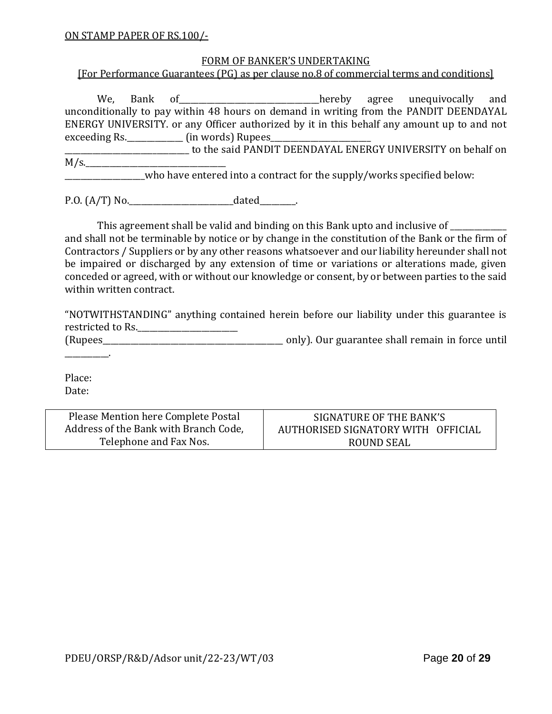#### FORM OF BANKER'S UNDERTAKING

[For Performance Guarantees (PG) as per clause no.8 of commercial terms and conditions]

We, Bank of <u>Consequence of the setting</u> agree unequivocally and unconditionally to pay within 48 hours on demand in writing from the PANDIT DEENDAYAL ENERGY UNIVERSITY. or any Officer authorized by it in this behalf any amount up to and not exceeding Rs.\_\_\_\_\_\_\_\_\_\_\_\_\_\_\_\_\_\_\_\_\_ (in words) Rupees\_\_\_\_\_\_\_\_\_\_\_\_\_\_\_\_\_\_\_\_\_\_\_\_\_\_\_\_

\_\_\_\_\_\_\_\_\_\_\_\_\_\_\_\_\_\_\_\_\_\_\_\_\_\_\_\_\_\_\_ to the said PANDIT DEENDAYAL ENERGY UNIVERSITY on behalf on  $M/s$ .

who have entered into a contract for the supply/works specified below:

P.O. (A/T) No.\_\_\_\_\_\_\_\_\_\_\_\_\_\_\_\_\_\_\_\_\_\_\_\_\_\_dated\_\_\_\_\_\_\_\_\_.

This agreement shall be valid and binding on this Bank upto and inclusive of and shall not be terminable by notice or by change in the constitution of the Bank or the firm of Contractors / Suppliers or by any other reasons whatsoever and our liability hereunder shall not be impaired or discharged by any extension of time or variations or alterations made, given conceded or agreed, with or without our knowledge or consent, by or between parties to the said within written contract.

"NOTWITHSTANDING" anything contained herein before our liability under this guarantee is restricted to Rs.

(Rupees\_\_\_\_\_\_\_\_\_\_\_\_\_\_\_\_\_\_\_\_\_\_\_\_\_\_\_\_\_\_\_\_\_\_\_\_\_\_\_\_\_\_\_\_\_ only). Our guarantee shall remain in force until \_\_\_\_\_\_\_\_\_\_\_.

Place: Date:

| Please Mention here Complete Postal   | SIGNATURE OF THE BANK'S            |
|---------------------------------------|------------------------------------|
| Address of the Bank with Branch Code, | AUTHORISED SIGNATORY WITH OFFICIAL |
| Telephone and Fax Nos.                | ROUND SEAL                         |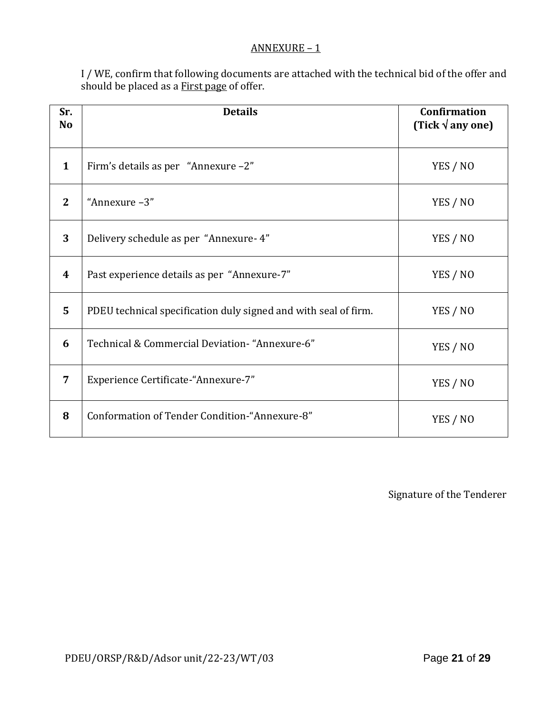#### ANNEXURE – 1

I / WE, confirm that following documents are attached with the technical bid of the offer and should be placed as a First page of offer.

| Sr.<br>N <sub>o</sub> | <b>Details</b>                                                  | <b>Confirmation</b><br>(Tick $\sqrt{$ any one) |
|-----------------------|-----------------------------------------------------------------|------------------------------------------------|
| $\mathbf{1}$          | Firm's details as per "Annexure -2"                             | YES / NO                                       |
| $\mathbf{2}$          | "Annexure-3"                                                    | YES / NO                                       |
| 3                     | Delivery schedule as per "Annexure-4"                           | YES / NO                                       |
| 4                     | Past experience details as per "Annexure-7"                     | YES / NO                                       |
| 5                     | PDEU technical specification duly signed and with seal of firm. | YES / NO                                       |
| 6                     | Technical & Commercial Deviation- "Annexure-6"                  | YES / NO                                       |
| 7                     | Experience Certificate-"Annexure-7"                             | YES / NO                                       |
| 8                     | Conformation of Tender Condition-"Annexure-8"                   | YES / NO                                       |

Signature of the Tenderer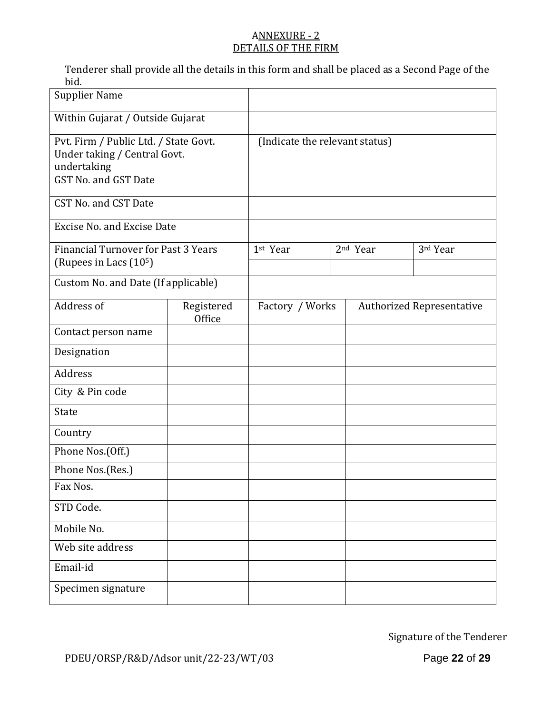## ANNEXURE - 2 DETAILS OF THE FIRM

Tenderer shall provide all the details in this form and shall be placed as a Second Page of the bid.

| <b>Supplier Name</b>                                                                 |                      |                                |                 |                      |                                  |  |
|--------------------------------------------------------------------------------------|----------------------|--------------------------------|-----------------|----------------------|----------------------------------|--|
| Within Gujarat / Outside Gujarat                                                     |                      |                                |                 |                      |                                  |  |
| Pvt. Firm / Public Ltd. / State Govt.<br>Under taking / Central Govt.<br>undertaking |                      | (Indicate the relevant status) |                 |                      |                                  |  |
| GST No. and GST Date                                                                 |                      |                                |                 |                      |                                  |  |
| CST No. and CST Date                                                                 |                      |                                |                 |                      |                                  |  |
| <b>Excise No. and Excise Date</b>                                                    |                      |                                |                 |                      |                                  |  |
| <b>Financial Turnover for Past 3 Years</b><br>(Rupees in Lacs (10 <sup>5</sup> )     |                      | 1st Year                       |                 | 2 <sup>nd</sup> Year | 3rd Year                         |  |
| Custom No. and Date (If applicable)                                                  |                      |                                |                 |                      |                                  |  |
| Address of                                                                           | Registered<br>Office |                                | Factory / Works |                      | <b>Authorized Representative</b> |  |
| Contact person name                                                                  |                      |                                |                 |                      |                                  |  |
| Designation                                                                          |                      |                                |                 |                      |                                  |  |
| Address                                                                              |                      |                                |                 |                      |                                  |  |
| City & Pin code                                                                      |                      |                                |                 |                      |                                  |  |
| State                                                                                |                      |                                |                 |                      |                                  |  |
| Country                                                                              |                      |                                |                 |                      |                                  |  |
| Phone Nos.(Off.)                                                                     |                      |                                |                 |                      |                                  |  |
| Phone Nos.(Res.)                                                                     |                      |                                |                 |                      |                                  |  |
| Fax Nos.                                                                             |                      |                                |                 |                      |                                  |  |
| STD Code.                                                                            |                      |                                |                 |                      |                                  |  |
| Mobile No.                                                                           |                      |                                |                 |                      |                                  |  |
| Web site address                                                                     |                      |                                |                 |                      |                                  |  |
| Email-id                                                                             |                      |                                |                 |                      |                                  |  |
| Specimen signature                                                                   |                      |                                |                 |                      |                                  |  |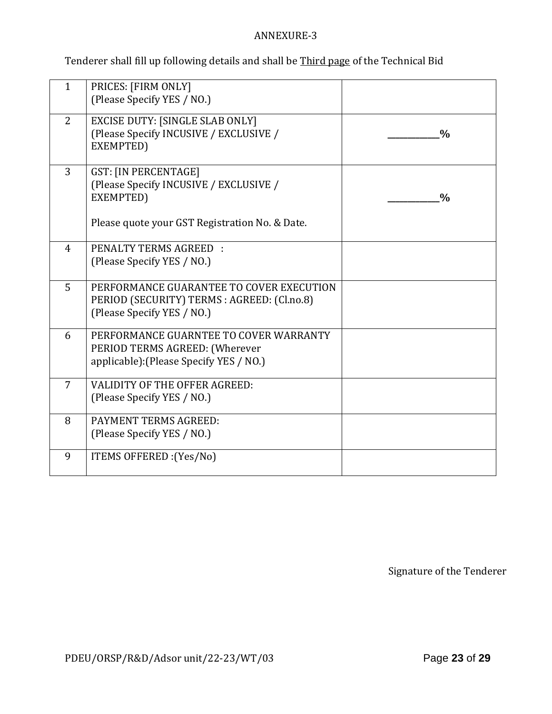## ANNEXURE-3

Tenderer shall fill up following details and shall be Third page of the Technical Bid

| $\mathbf{1}$   | PRICES: [FIRM ONLY]<br>(Please Specify YES / NO.)                                                                     |               |
|----------------|-----------------------------------------------------------------------------------------------------------------------|---------------|
| $\overline{2}$ | <b>EXCISE DUTY: [SINGLE SLAB ONLY]</b><br>(Please Specify INCUSIVE / EXCLUSIVE /<br>EXEMPTED)                         | $\frac{0}{0}$ |
| 3              | <b>GST: [IN PERCENTAGE]</b><br>(Please Specify INCUSIVE / EXCLUSIVE /<br>EXEMPTED)                                    | $\frac{0}{0}$ |
|                | Please quote your GST Registration No. & Date.                                                                        |               |
| $\overline{4}$ | PENALTY TERMS AGREED :<br>(Please Specify YES / NO.)                                                                  |               |
| 5              | PERFORMANCE GUARANTEE TO COVER EXECUTION<br>PERIOD (SECURITY) TERMS : AGREED: (Cl.no.8)<br>(Please Specify YES / NO.) |               |
| 6              | PERFORMANCE GUARNTEE TO COVER WARRANTY<br>PERIOD TERMS AGREED: (Wherever<br>applicable): (Please Specify YES / NO.)   |               |
| $\overline{7}$ | <b>VALIDITY OF THE OFFER AGREED:</b><br>(Please Specify YES / NO.)                                                    |               |
| 8              | <b>PAYMENT TERMS AGREED:</b><br>(Please Specify YES / NO.)                                                            |               |
| 9              | ITEMS OFFERED : (Yes/No)                                                                                              |               |

Signature of the Tenderer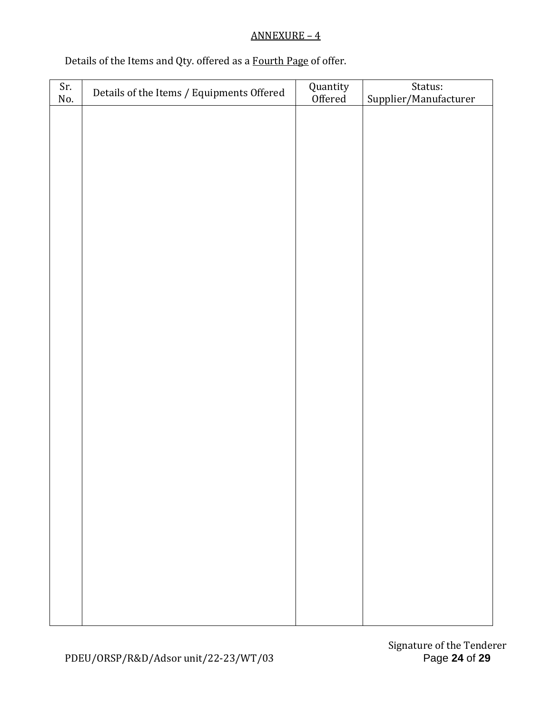## ANNEXURE – 4

## Details of the Items and Qty. offered as a Fourth Page of offer.

| Sr.<br>No. | Details of the Items / Equipments Offered | Quantity<br>Offered | Status:<br>Supplier/Manufacturer |
|------------|-------------------------------------------|---------------------|----------------------------------|
|            |                                           |                     |                                  |
|            |                                           |                     |                                  |
|            |                                           |                     |                                  |
|            |                                           |                     |                                  |
|            |                                           |                     |                                  |
|            |                                           |                     |                                  |
|            |                                           |                     |                                  |
|            |                                           |                     |                                  |
|            |                                           |                     |                                  |
|            |                                           |                     |                                  |
|            |                                           |                     |                                  |
|            |                                           |                     |                                  |
|            |                                           |                     |                                  |
|            |                                           |                     |                                  |
|            |                                           |                     |                                  |
|            |                                           |                     |                                  |
|            |                                           |                     |                                  |
|            |                                           |                     |                                  |
|            |                                           |                     |                                  |
|            |                                           |                     |                                  |
|            |                                           |                     |                                  |
|            |                                           |                     |                                  |
|            |                                           |                     |                                  |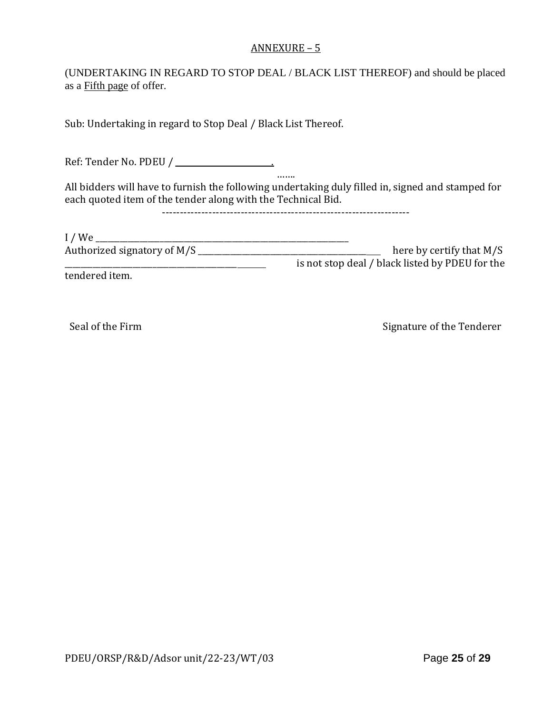#### ANNEXURE – 5

(UNDERTAKING IN REGARD TO STOP DEAL / BLACK LIST THEREOF) and should be placed as a Fifth page of offer.

Sub: Undertaking in regard to Stop Deal / Black List Thereof.

Ref: Tender No. PDEU / \_\_\_\_\_\_\_\_\_\_\_\_\_\_\_\_\_\_\_\_\_\_\_\_.

All bidders will have to furnish the following undertaking duly filled in, signed and stamped for each quoted item of the tender along with the Technical Bid.

…….

---------------------------------------------------------------------

| I/We                        |                                                 |
|-----------------------------|-------------------------------------------------|
| Authorized signatory of M/S | here by certify that $M/S$                      |
|                             | is not stop deal / black listed by PDEU for the |
|                             |                                                 |

tendered item.

Seal of the Firm Signature of the Tenderer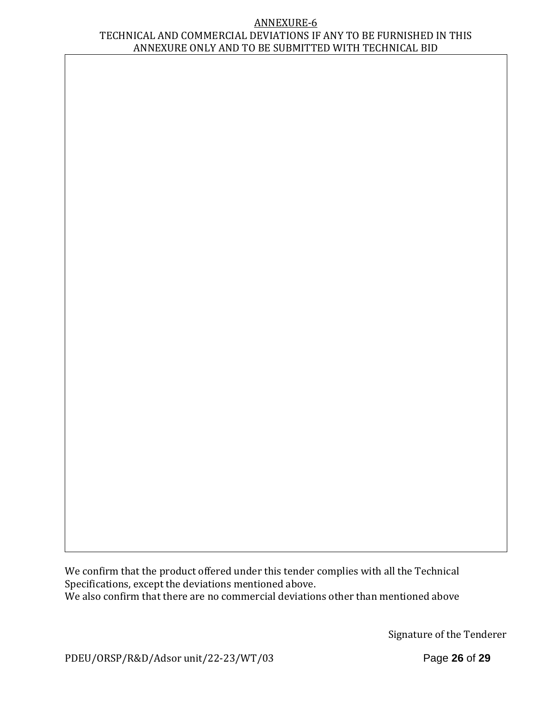#### ANNEXURE-6 TECHNICAL AND COMMERCIAL DEVIATIONS IF ANY TO BE FURNISHED IN THIS ANNEXURE ONLY AND TO BE SUBMITTED WITH TECHNICAL BID

We confirm that the product offered under this tender complies with all the Technical Specifications, except the deviations mentioned above. We also confirm that there are no commercial deviations other than mentioned above

Signature of the Tenderer

PDEU/ORSP/R&D/Adsor unit/22-23/WT/03Page **26** of **29**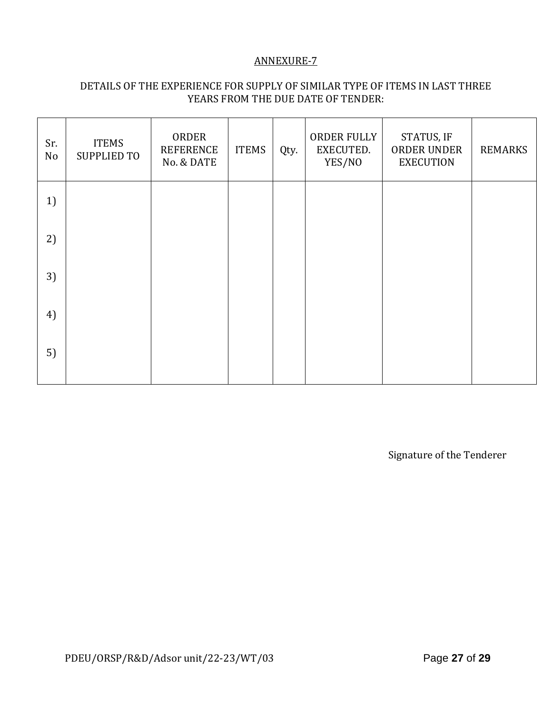## ANNEXURE-7

## DETAILS OF THE EXPERIENCE FOR SUPPLY OF SIMILAR TYPE OF ITEMS IN LAST THREE YEARS FROM THE DUE DATE OF TENDER:

| Sr.<br>No | <b>ITEMS</b><br><b>SUPPLIED TO</b> | ORDER<br><b>REFERENCE</b><br>No. & DATE | <b>ITEMS</b> | Qty. | ORDER FULLY<br>EXECUTED.<br>YES/NO | STATUS, IF<br>ORDER UNDER<br><b>EXECUTION</b> | <b>REMARKS</b> |
|-----------|------------------------------------|-----------------------------------------|--------------|------|------------------------------------|-----------------------------------------------|----------------|
| 1)        |                                    |                                         |              |      |                                    |                                               |                |
| 2)        |                                    |                                         |              |      |                                    |                                               |                |
| 3)        |                                    |                                         |              |      |                                    |                                               |                |
| 4)        |                                    |                                         |              |      |                                    |                                               |                |
| 5)        |                                    |                                         |              |      |                                    |                                               |                |

Signature of the Tenderer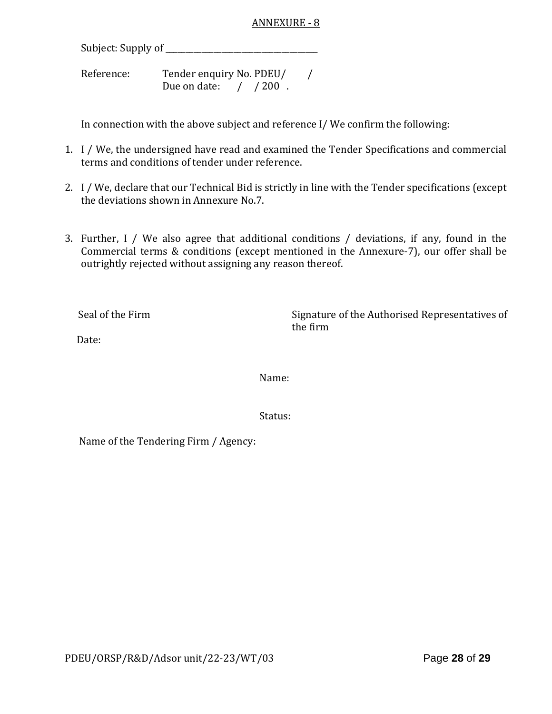Subject: Supply of \_\_\_\_\_\_\_\_\_\_\_\_\_\_\_\_\_\_\_\_\_\_\_\_\_\_\_\_\_\_\_\_\_\_\_\_\_\_

Reference: Tender enquiry No. PDEU/ / Due on date: / / 200.

In connection with the above subject and reference I/ We confirm the following:

- 1. I / We, the undersigned have read and examined the Tender Specifications and commercial terms and conditions of tender under reference.
- 2. I / We, declare that our Technical Bid is strictly in line with the Tender specifications (except the deviations shown in Annexure No.7.
- 3. Further, I / We also agree that additional conditions / deviations, if any, found in the Commercial terms & conditions (except mentioned in the Annexure-7), our offer shall be outrightly rejected without assigning any reason thereof.

Seal of the Firm Signature of the Authorised Representatives of the firm

Date:

Name:

Status:

Name of the Tendering Firm / Agency: